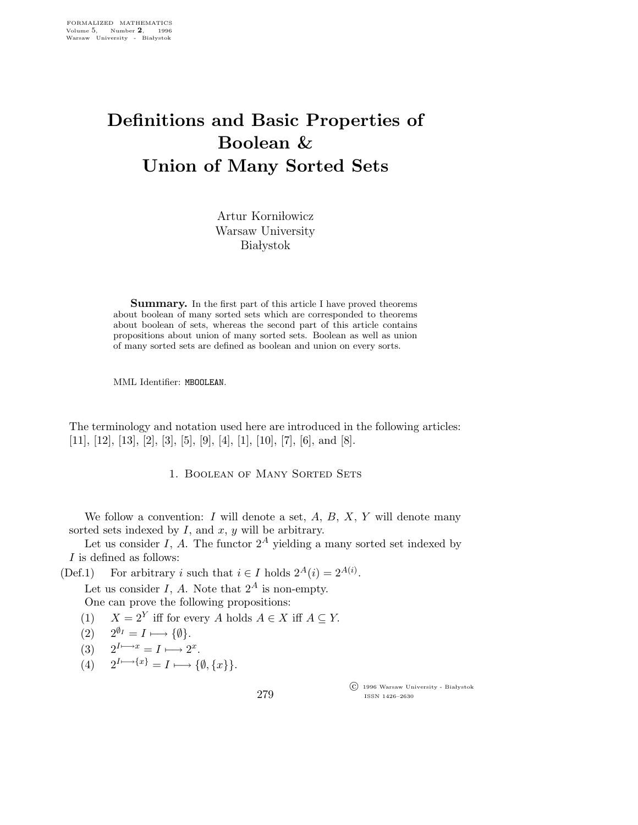## Definitions and Basic Properties of Boolean & Union of Many Sorted Sets

Artur Korniłowicz Warsaw University **Białystok** 

Summary. In the first part of this article I have proved theorems about boolean of many sorted sets which are corresponded to theorems about boolean of sets, whereas the second part of this article contains propositions about union of many sorted sets. Boolean as well as union of many sorted sets are defined as boolean and union on every sorts.

MML Identifier: MBOOLEAN.

The terminology and notation used here are introduced in the following articles: [11], [12], [13], [2], [3], [5], [9], [4], [1], [10], [7], [6], and [8].

1. Boolean of Many Sorted Sets

We follow a convention: I will denote a set,  $A, B, X, Y$  will denote many sorted sets indexed by  $I$ , and  $x$ ,  $y$  will be arbitrary.

Let us consider I, A. The functor  $2^A$  yielding a many sorted set indexed by I is defined as follows:

(Def.1) For arbitrary *i* such that  $i \in I$  holds  $2^A(i) = 2^{A(i)}$ .

Let us consider I, A. Note that  $2^A$  is non-empty.

One can prove the following propositions:

- (1)  $X = 2^Y$  iff for every A holds  $A \in X$  iff  $A \subseteq Y$ .
- (2)  $2^{\emptyset_I} = I \longmapsto {\emptyset}.$
- (3)  $2^{I \mapsto x} = I \mapsto 2^x$ .
- (4)  $2^{I\rightarrow\{x\}} = I \rightarrow \{\emptyset, \{x\}\}.$

279

 c 1996 Warsaw University - Bia lystok ISSN 1426–2630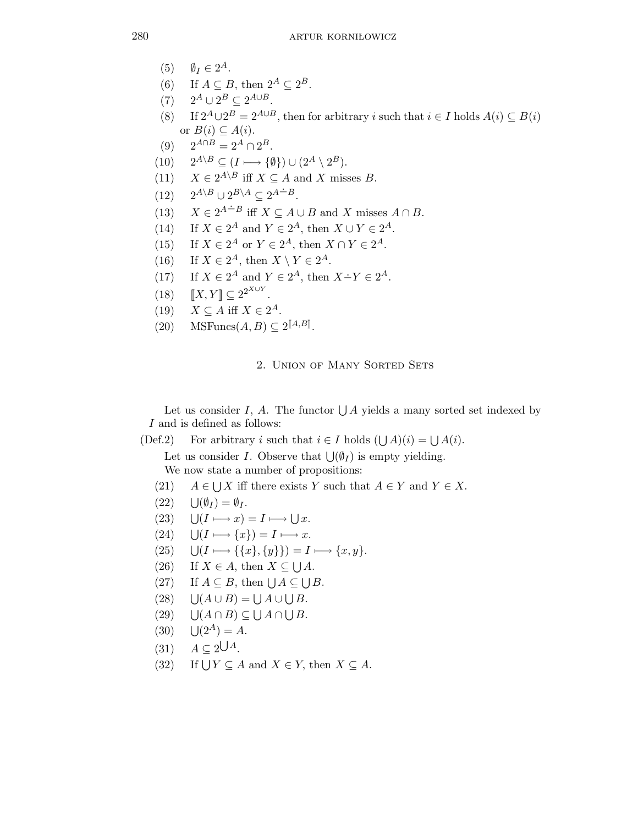- (5)  $\emptyset_I \in 2^A$ .
- (6) If  $A \subseteq B$ , then  $2^A \subseteq 2^B$ .
- (7)  $2^A \cup 2^B \subseteq 2^{A \cup B}$ .
- (8) If  $2^A \cup 2^B = 2^{A \cup B}$ , then for arbitrary *i* such that  $i \in I$  holds  $A(i) \subseteq B(i)$ or  $B(i) \subseteq A(i)$ .
- (9)  $2^{A \cap B} = 2^A \cap 2^B$ .
- $(10)$   $2^{A\setminus B} \subseteq (I \longmapsto {\emptyset}) \cup (2^A \setminus 2^B).$
- (11)  $X \in 2^{A \setminus B}$  iff  $X \subseteq A$  and X misses B.
- (12)  $2^{A\setminus B} \cup 2^{B\setminus A} \subseteq 2^{A \div B}.$
- (13)  $X \in 2^{A-B}$  iff  $X \subseteq A \cup B$  and X misses  $A \cap B$ .
- (14) If  $X \in 2^A$  and  $Y \in 2^A$ , then  $X \cup Y \in 2^A$ .
- (15) If  $X \in 2^A$  or  $Y \in 2^A$ , then  $X \cap Y \in 2^A$ .
- (16) If  $X \in 2^A$ , then  $X \setminus Y \in 2^A$ .
- (17) If  $X \in 2^A$  and  $Y \in 2^A$ , then  $X \dot{-} Y \in 2^A$ .
- (18)  $[[X, Y]] \subseteq 2^{2^{X \cup Y}}$ .
- (19)  $X \subseteq A$  iff  $X \in 2^A$ .
- $(20)$  MSFuncs $(A, B) \subseteq 2^{\llbracket A, B \rrbracket}$ .

## 2. Union of Many Sorted Sets

Let us consider I, A. The functor  $\bigcup A$  yields a many sorted set indexed by I and is defined as follows:

(Def.2) For arbitrary i such that  $i \in I$  holds  $(\bigcup A)(i) = \bigcup A(i)$ .

Let us consider *I*. Observe that  $\bigcup_{i} (\emptyset_I)$  is empty yielding.

We now state a number of propositions:

- $(21)$  $\bigcup X$  iff there exists Y such that  $A \in Y$  and  $Y \in X$ .
- $(22)$  $\bigcup (\emptyset_I) = \emptyset_I.$
- $(23)$  $(I \longmapsto x) = I \longmapsto \bigcup x.$
- $(24)$  $\bigcup (I \longmapsto \{x\}) = I \longmapsto x.$
- $(25)$  $\bigcup (I \longmapsto \{\{x\}, \{y\}\}\big) = I \longmapsto \{x, y\}.$
- (26) If  $X \in A$ , then  $X \subseteq \bigcup A$ .
- (27) If  $A \subseteq B$ , then  $\bigcup A \subseteq \bigcup B$ .
- $(28)$  $(A \cup B) = \bigcup A \cup \bigcup B.$
- $(29)$  $(A \cap B) \subseteq \bigcup A \cap \bigcup B$ .
- $(30)$  $1(2^A) = A$ .
- $(31)$   $A \subseteq 2\bigcup A$ .
- $(32)$ If  $\bigcup Y \subseteq A$  and  $X \in Y$ , then  $X \subseteq A$ .